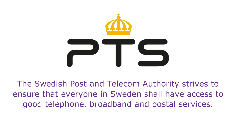

The Swedish Post and Telecom Authority strives to ensure that everyone in Sweden shall have access to good telephone, broadband and postal services.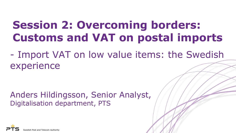## **Session 2: Overcoming borders: Customs and VAT on postal imports**

- Import VAT on low value items: the Swedish experience

Anders Hildingsson, Senior Analyst, Digitalisation department, PTS

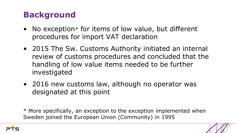### **Background**

- No exception\* for items of low value, but different procedures for import VAT declaration
- 2015 The Sw. Customs Authority initiated an internal review of customs procedures and concluded that the handling of low value items needed to be further investigated
- 2016 new customs law, although no operator was designated at this point

\* More specifically, an exception to the exception implemented when Sweden joined the European Union (Community) in 1995

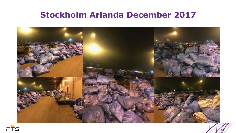#### **Stockholm Arlanda December 2017**



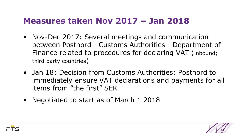#### **Measures taken Nov 2017 – Jan 2018**

- Nov-Dec 2017: Several meetings and communication between Postnord - Customs Authorities - Department of Finance related to procedures for declaring VAT (inbound; third party countries)
- Jan 18: Decision from Customs Authorities: Postnord to immediately ensure VAT declarations and payments for all items from "the first" SEK
- Negotiated to start as of March 1 2018



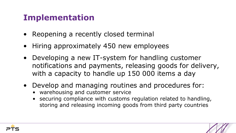#### **Implementation**

- Reopening a recently closed terminal
- Hiring approximately 450 new employees
- Developing a new IT-system for handling customer notifications and payments, releasing goods for delivery, with a capacity to handle up 150 000 items a day
- Develop and managing routines and procedures for:
	- warehousing and customer service
	- securing compliance with customs regulation related to handling, storing and releasing incoming goods from third party countries

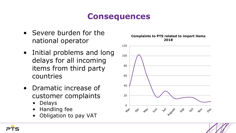#### **Consequences**

- Severe burden for the national operator
- Initial problems and long delays for all incoming items from third party countries
- Dramatic increase of customer complaints
	- Delays
	- Handling fee
	- Obligation to pay VAT

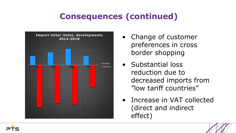## **Consequences (continued)**



- Change of customer preferences in cross border shopping
- Substantial loss reduction due to decreased imports from "low tariff countries"
- Increase in VAT collected (direct and indirect effect)

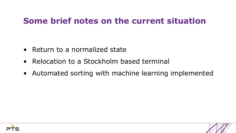#### **Some brief notes on the current situation**

- Return to a normalized state
- Relocation to a Stockholm based terminal
- Automated sorting with machine learning implemented